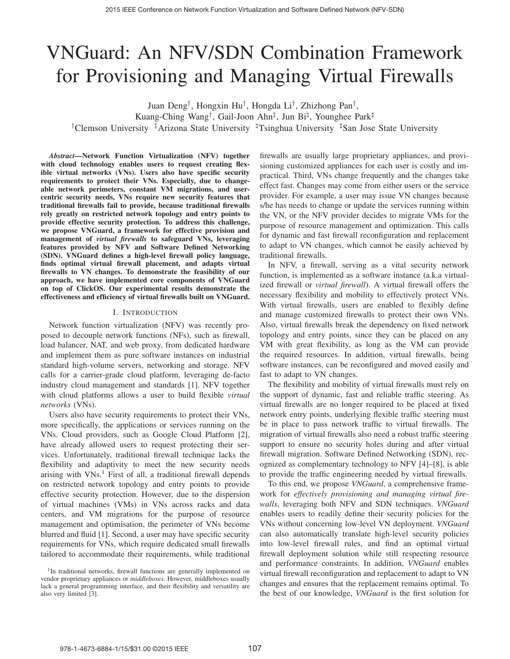# VNGuard: An NFV/SDN Combination Framework for Provisioning and Managing Virtual Firewalls

Juan Deng†, Hongxin Hu†, Hongda Li†, Zhizhong Pan†,

Kuang-Ching Wang<sup>†</sup>, Gail-Joon Ahn<sup>‡</sup>, Jun Bi<sup>ḥ</sup>, Younghee Park<sup>#</sup>

<sup>†</sup>Clemson University <sup>‡</sup>Arizona State University <sup>‡</sup>Tsinghua University <sup>#</sup>San Jose State University

*Abstract*—Network Function Virtualization (NFV) together with cloud technology enables users to request creating flexible virtual networks (VNs). Users also have specific security requirements to protect their VNs. Especially, due to changeable network perimeters, constant VM migrations, and usercentric security needs, VNs require new security features that traditional firewalls fail to provide, because traditional firewalls rely greatly on restricted network topology and entry points to provide effective security protection. To address this challenge, we propose VNGuard, a framework for effective provision and management of *virtual firewalls* to safeguard VNs, leveraging features provided by NFV and Software Defined Networking (SDN). VNGuard defines a high-level firewall policy language, finds optimal virtual firewall placement, and adapts virtual firewalls to VN changes. To demonstrate the feasibility of our approach, we have implemented core components of VNGuard on top of ClickOS. Our experimental results demonstrate the effectiveness and efficiency of virtual firewalls built on VNGuard.

### I. INTRODUCTION

Network function virtualization (NFV) was recently proposed to decouple network functions (NFs), such as firewall, load balancer, NAT, and web proxy, from dedicated hardware and implement them as pure software instances on industrial standard high-volume servers, networking and storage. NFV calls for a carrier-grade cloud platform, leveraging de-facto industry cloud management and standards [1]. NFV together with cloud platforms allows a user to build flexible *virtual networks* (VNs).

Users also have security requirements to protect their VNs, more specifically, the applications or services running on the VNs. Cloud providers, such as Google Cloud Platform [2], have already allowed users to request protecting their services. Unfortunately, traditional firewall technique lacks the flexibility and adaptivity to meet the new security needs arising with  $VNs<sup>1</sup>$  First of all, a traditional firewall depends on restricted network topology and entry points to provide effective security protection. However, due to the dispersion of virtual machines (VMs) in VNs across racks and data centers, and VM migrations for the purpose of resource management and optimisation, the perimeter of VNs become blurred and fluid [1]. Second, a user may have specific security requirements for VNs, which require dedicated small firewalls tailored to accommodate their requirements, while traditional

firewalls are usually large proprietary appliances, and provisioning customized appliances for each user is costly and impractical. Third, VNs change frequently and the changes take effect fast. Changes may come from either users or the service provider. For example, a user may issue VN changes because s/he has needs to change or update the services running within the VN, or the NFV provider decides to migrate VMs for the purpose of resource management and optimization. This calls for dynamic and fast firewall reconfiguration and replacement to adapt to VN changes, which cannot be easily achieved by traditional firewalls.

In NFV, a firewall, serving as a vital security network function, is implemented as a software instance (a.k.a virtualized firewall or *virtual firewall*). A virtual firewall offers the necessary flexibility and mobility to effectively protect VNs. With virtual firewalls, users are enabled to flexibly define and manage customized firewalls to protect their own VNs. Also, virtual firewalls break the dependency on fixed network topology and entry points, since they can be placed on any VM with great flexibility, as long as the VM can provide the required resources. In addition, virtual firewalls, being software instances, can be reconfigured and moved easily and fast to adapt to VN changes.

The flexibility and mobility of virtual firewalls must rely on the support of dynamic, fast and reliable traffic steering. As virtual firewalls are no longer required to be placed at fixed network entry points, underlying flexible traffic steering must be in place to pass network traffic to virtual firewalls. The migration of virtual firewalls also need a robust traffic steering support to ensure no security holes during and after virtual firewall migration. Software Defined Networking (SDN), recognized as complementary technology to NFV [4]–[8], is able to provide the traffic engineering needed by virtual firewalls.

To this end, we propose *VNGuard*, a comprehensive framework for *effectively provisioning and managing virtual firewalls*, leveraging both NFV and SDN techniques. *VNGuard* enables users to readily define their security policies for the VNs without concerning low-level VN deployment. *VNGuard* can also automatically translate high-level security policies into low-level firewall rules, and find an optimal virtual firewall deployment solution while still respecting resource and performance constraints. In addition, *VNGuard* enables virtual firewall reconfiguration and replacement to adapt to VN changes and ensures that the replacement remains optimal. To the best of our knowledge, *VNGuard* is the first solution for

<sup>&</sup>lt;sup>1</sup>In traditional networks, firewall functions are generally implemented on vendor proprietary appliances or *middleboxes*. However, middleboxes usually lack a general programming interface, and their flexibility and versatility are also very limited [3].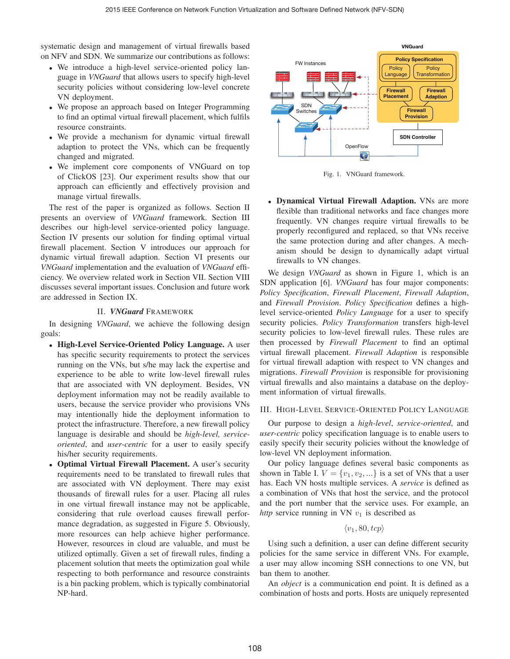systematic design and management of virtual firewalls based on NFV and SDN. We summarize our contributions as follows:

- We introduce a high-level service-oriented policy language in *VNGuard* that allows users to specify high-level security policies without considering low-level concrete VN deployment.
- We propose an approach based on Integer Programming to find an optimal virtual firewall placement, which fulfils resource constraints.
- We provide a mechanism for dynamic virtual firewall adaption to protect the VNs, which can be frequently changed and migrated.
- We implement core components of VNGuard on top of ClickOS [23]. Our experiment results show that our approach can efficiently and effectively provision and manage virtual firewalls.

The rest of the paper is organized as follows. Section II presents an overview of *VNGuard* framework. Section III describes our high-level service-oriented policy language. Section IV presents our solution for finding optimal virtual firewall placement. Section V introduces our approach for dynamic virtual firewall adaption. Section VI presents our *VNGuard* implementation and the evaluation of *VNGuard* efficiency. We overview related work in Section VII. Section VIII discusses several important issues. Conclusion and future work are addressed in Section IX.

# II. *VNGuard* FRAMEWORK

In designing *VNGuard*, we achieve the following design goals:

- High-Level Service-Oriented Policy Language. A user has specific security requirements to protect the services running on the VNs, but s/he may lack the expertise and experience to be able to write low-level firewall rules that are associated with VN deployment. Besides, VN deployment information may not be readily available to users, because the service provider who provisions VNs may intentionally hide the deployment information to protect the infrastructure. Therefore, a new firewall policy language is desirable and should be *high-level, serviceoriented*, and *user-centric* for a user to easily specify his/her security requirements.
- Optimal Virtual Firewall Placement. A user's security requirements need to be translated to firewall rules that are associated with VN deployment. There may exist thousands of firewall rules for a user. Placing all rules in one virtual firewall instance may not be applicable, considering that rule overload causes firewall performance degradation, as suggested in Figure 5. Obviously, more resources can help achieve higher performance. However, resources in cloud are valuable, and must be utilized optimally. Given a set of firewall rules, finding a placement solution that meets the optimization goal while respecting to both performance and resource constraints is a bin packing problem, which is typically combinatorial NP-hard.



Fig. 1. VNGuard framework.

• Dynamical Virtual Firewall Adaption. VNs are more flexible than traditional networks and face changes more frequently. VN changes require virtual firewalls to be properly reconfigured and replaced, so that VNs receive the same protection during and after changes. A mechanism should be design to dynamically adapt virtual firewalls to VN changes.

We design *VNGuard* as shown in Figure 1, which is an SDN application [6]. *VNGuard* has four major components: *Policy Specification*, *Firewall Placement*, *Firewall Adaption*, and *Firewall Provision*. *Policy Specification* defines a highlevel service-oriented *Policy Language* for a user to specify security policies. *Policy Transformation* transfers high-level security policies to low-level firewall rules. These rules are then processed by *Firewall Placement* to find an optimal virtual firewall placement. *Firewall Adaption* is responsible for virtual firewall adaption with respect to VN changes and migrations. *Firewall Provision* is responsible for provisioning virtual firewalls and also maintains a database on the deployment information of virtual firewalls.

# III. HIGH-LEVEL SERVICE-ORIENTED POLICY LANGUAGE

Our purpose to design a *high-level*, *service-oriented*, and *user-centric* policy specification language is to enable users to easily specify their security policies without the knowledge of low-level VN deployment information.

Our policy language defines several basic components as shown in Table I.  $V = \{v_1, v_2, ...\}$  is a set of VNs that a user has. Each VN hosts multiple services. A *service* is defined as a combination of VNs that host the service, and the protocol and the port number that the service uses. For example, an *http* service running in VN  $v_1$  is described as

 $\langle v_1, 80, \mathit{tcp} \rangle$ 

Using such a definition, a user can define different security policies for the same service in different VNs. For example, a user may allow incoming SSH connections to one VN, but ban them to another.

An *object* is a communication end point. It is defined as a combination of hosts and ports. Hosts are uniquely represented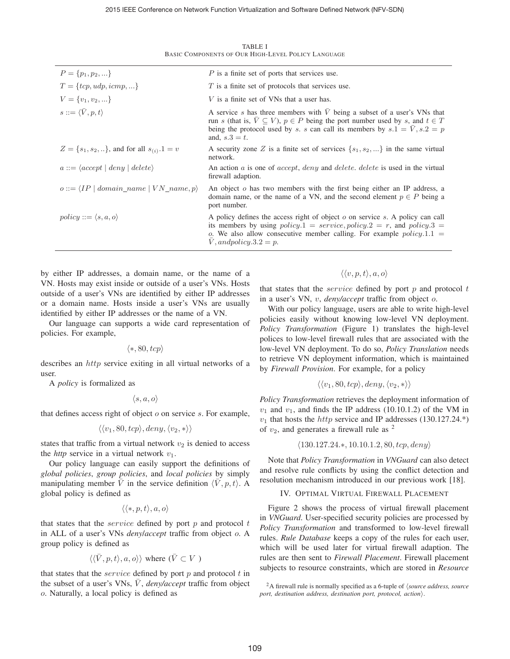TABLE I BASIC COMPONENTS OF OUR HIGH-LEVEL POLICY LANGUAGE

| $P = \{p_1, p_2, \}$                                          | $P$ is a finite set of ports that services use.                                                                                                                                                                                                                                                              |
|---------------------------------------------------------------|--------------------------------------------------------------------------------------------------------------------------------------------------------------------------------------------------------------------------------------------------------------------------------------------------------------|
| $T = \{tcp, udp, icmp, \}$                                    | $T$ is a finite set of protocols that services use.                                                                                                                                                                                                                                                          |
| $V = \{v_1, v_2, \}$                                          | $V$ is a finite set of VNs that a user has.                                                                                                                                                                                                                                                                  |
| $s ::= \langle \overline{V}, p, t \rangle$                    | A service s has three members with $\overline{V}$ being a subset of a user's VNs that<br>run s (that is, $\overline{V} \subseteq V$ ), $p \in P$ being the port number used by s, and $t \in T$<br>being the protocol used by s. s can call its members by $s.1 = \overline{V}, s.2 = p$<br>and, $s.3 = t$ . |
| $Z = \{s_1, s_2, \}$ , and for all $s_{(i)} \cdot 1 = v$      | A security zone Z is a finite set of services $\{s_1, s_2, \}$ in the same virtual<br>network.                                                                                                                                                                                                               |
| $a ::= \langle accept \mid deny \mid delete \rangle$          | An action a is one of accept, deny and delete. delete is used in the virtual<br>firewall adaption.                                                                                                                                                                                                           |
| $o ::= \langle IP \mid domain\_name \mid VN\_name, p \rangle$ | An object $o$ has two members with the first being either an IP address, a<br>domain name, or the name of a VN, and the second element $p \in P$ being a<br>port number.                                                                                                                                     |
| $policy ::= \langle s, a, o \rangle$                          | A policy defines the access right of object $o$ on service $s$ . A policy can call<br>its members by using $policy.1 = service, policy.2 = r$ , and $policy.3 =$<br>o. We also allow consecutive member calling. For example $policy.1.1$ =<br>V, and policy $.3.2 = p$ .                                    |

by either IP addresses, a domain name, or the name of a VN. Hosts may exist inside or outside of a user's VNs. Hosts outside of a user's VNs are identified by either IP addresses or a domain name. Hosts inside a user's VNs are usually identified by either IP addresses or the name of a VN.

Our language can supports a wide card representation of policies. For example,

$$
\langle *, 80, tcp \rangle
$$

describes an *http* service exiting in all virtual networks of a user.

A *policy* is formalized as

$$
\langle s,a,o\rangle
$$

that defines access right of object  $o$  on service  $s$ . For example,

$$
\langle \langle v_1, 80, \mathit{tcp} \rangle, \mathit{deny}, \langle v_2, * \rangle \rangle
$$

states that traffic from a virtual network  $v_2$  is denied to access the *http* service in a virtual network  $v_1$ .

Our policy language can easily support the definitions of *global policies*, *group policies*, and *local policies* by simply manipulating member  $\overline{V}$  in the service definition  $\langle \overline{V}, p, t \rangle$ . A global policy is defined as

$$
\langle \langle *, p, t \rangle, a, o \rangle
$$

that states that the *service* defined by port  $p$  and protocol  $t$ in ALL of a user's VNs *deny*/*accept* traffic from object o. A group policy is defined as

$$
\langle \langle \bar{V}, p, t \rangle, a, o \rangle \rangle \text{ where } (\bar{V} \subset V \text{ )}
$$

that states that the *service* defined by port  $p$  and protocol  $t$  in the subset of a user's VNs,  $\bar{V}$ , *deny/accept* traffic from object o. Naturally, a local policy is defined as

# $\langle \langle v, p, t \rangle, a, o \rangle$

that states that the *service* defined by port  $p$  and protocol  $t$ in a user's VN, v, *deny/accept* traffic from object o.

With our policy language, users are able to write high-level policies easily without knowing low-level VN deployment. *Policy Transformation* (Figure 1) translates the high-level polices to low-level firewall rules that are associated with the low-level VN deployment. To do so, *Policy Translation* needs to retrieve VN deployment information, which is maintained by *Firewall Provision*. For example, for a policy

$$
\langle \langle v_1, 80, \mathit{tcp} \rangle, \mathit{deny}, \langle v_2, * \rangle \rangle
$$

*Policy Transformation* retrieves the deployment information of  $v_1$  and  $v_1$ , and finds the IP address (10.10.1.2) of the VM in  $v_1$  that hosts the *http* service and IP addresses (130.127.24.\*) of  $v_2$ , and generates a firewall rule as  $2$ 

$$
\langle 130.127.24.\ast, 10.10.1.2, 80, \mathit{tcp}, \mathit{deny} \rangle
$$

Note that *Policy Transformation* in *VNGuard* can also detect and resolve rule conflicts by using the conflict detection and resolution mechanism introduced in our previous work [18].

### IV. OPTIMAL VIRTUAL FIREWALL PLACEMENT

Figure 2 shows the process of virtual firewall placement in *VNGuard*. User-specified security policies are processed by *Policy Transformation* and transformed to low-level firewall rules. *Rule Database* keeps a copy of the rules for each user, which will be used later for virtual firewall adaption. The rules are then sent to *Firewall Placement*. Firewall placement subjects to resource constraints, which are stored in *Resource*

<sup>&</sup>lt;sup>2</sup>A firewall rule is normally specified as a 6-tuple of  $\langle source \text{ address}, source \rangle$ *port, destination address, destination port, protocol, action*.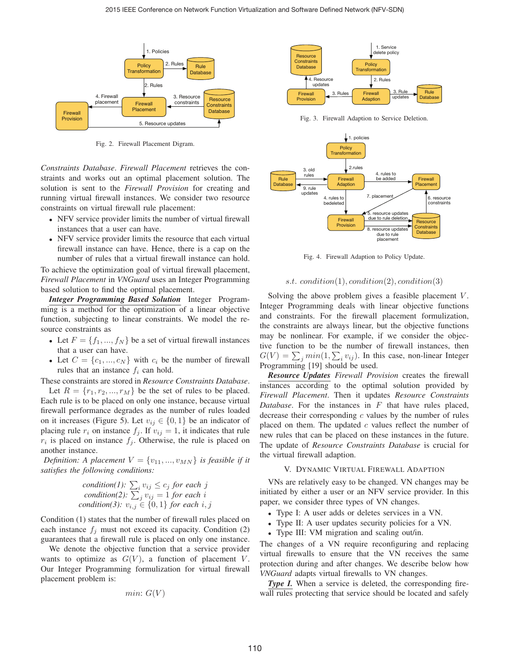

Fig. 2. Firewall Placement Digram.

*Constraints Database*. *Firewall Placement* retrieves the constraints and works out an optimal placement solution. The solution is sent to the *Firewall Provision* for creating and running virtual firewall instances. We consider two resource constraints on virtual firewall rule placement:

- NFV service provider limits the number of virtual firewall instances that a user can have.
- NFV service provider limits the resource that each virtual firewall instance can have. Hence, there is a cap on the number of rules that a virtual firewall instance can hold.

To achieve the optimization goal of virtual firewall placement, *Firewall Placement* in *VNGuard* uses an Integer Programming based solution to find the optimal placement.

*Integer Programming Based Solution* Integer Programming is a method for the optimization of a linear objective function, subjecting to linear constraints. We model the resource constraints as

- Let  $F = \{f_1, ..., f_N\}$  be a set of virtual firewall instances that a user can have.
- Let  $C = \{c_1, ..., c_N\}$  with  $c_i$  be the number of firewall rules that an instance  $f_i$  can hold.

These constraints are stored in *Resource Constraints Database*.

Let  $R = \{r_1, r_2, ..., r_M\}$  be the set of rules to be placed. Each rule is to be placed on only one instance, because virtual firewall performance degrades as the number of rules loaded on it increases (Figure 5). Let  $v_{ij} \in \{0, 1\}$  be an indicator of placing rule  $r_i$  on instance  $f_j$ . If  $v_{ij} = 1$ , it indicates that rule  $r_i$  is placed on instance  $f_i$ . Otherwise, the rule is placed on another instance.

*Definition:* A placement  $V = \{v_{11}, ..., v_{MN}\}\$ is feasible if it *satisfies the following conditions:*

$$
condition(1): \sum_i v_{ij} \le c_j \text{ for each } j
$$
  
condition(2):  $\sum_j v_{ij} = 1 \text{ for each } i$   
condition(3):  $v_{i,j} \in \{0, 1\}$  for each  $i, j$ 

Condition (1) states that the number of firewall rules placed on each instance  $f_j$  must not exceed its capacity. Condition (2) guarantees that a firewall rule is placed on only one instance.

We denote the objective function that a service provider wants to optimize as  $G(V)$ , a function of placement V. Our Integer Programming formulization for virtual firewall placement problem is:

$$
min: G(V)
$$



Fig. 3. Firewall Adaption to Service Deletion.



Fig. 4. Firewall Adaption to Policy Update.

### s.t. condition(1), condition(2), condition(3)

Solving the above problem gives a feasible placement V. Integer Programming deals with linear objective functions and constraints. For the firewall placement formulization, the constraints are always linear, but the objective functions may be nonlinear. For example, if we consider the objective function to be the number of firewall instances, then  $G(V) = \sum_j min(1, \sum_i v_{ij})$ . In this case, non-linear Integer Programming [19] should be used.

*Resource Updates Firewall Provision* creates the firewall instances according to the optimal solution provided by *Firewall Placement*. Then it updates *Resource Constraints Database*. For the instances in F that have rules placed, decrease their corresponding  $c$  values by the number of rules placed on them. The updated  $c$  values reflect the number of new rules that can be placed on these instances in the future. The update of *Resource Constraints Database* is crucial for the virtual firewall adaption.

### V. DYNAMIC VIRTUAL FIREWALL ADAPTION

VNs are relatively easy to be changed. VN changes may be initiated by either a user or an NFV service provider. In this paper, we consider three types of VN changes.

- Type I: A user adds or deletes services in a VN.
- Type II: A user updates security policies for a VN.
- Type III: VM migration and scaling out/in.

The changes of a VN require reconfiguring and replacing virtual firewalls to ensure that the VN receives the same protection during and after changes. We describe below how *VNGuard* adapts virtual firewalls to VN changes.

**Type I.** When a service is deleted, the corresponding firewall rules protecting that service should be located and safely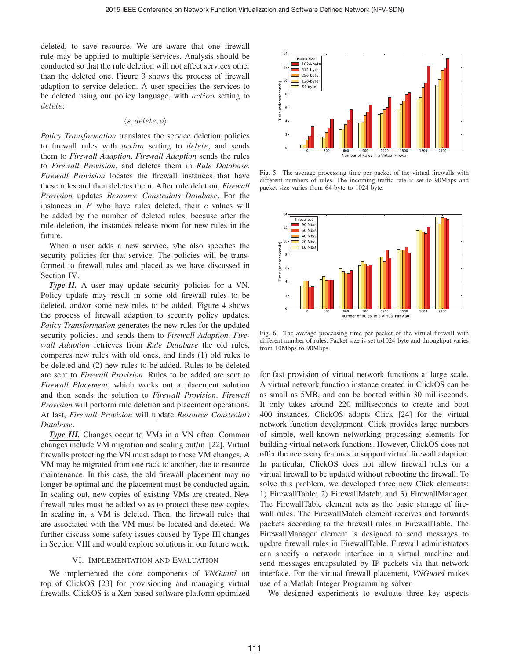deleted, to save resource. We are aware that one firewall rule may be applied to multiple services. Analysis should be conducted so that the rule deletion will not affect services other than the deleted one. Figure 3 shows the process of firewall adaption to service deletion. A user specifies the services to be deleted using our policy language, with *action* setting to delete:

# $\langle s, delete, o \rangle$

*Policy Transformation* translates the service deletion policies to firewall rules with action setting to delete, and sends them to *Firewall Adaption*. *Firewall Adaption* sends the rules to *Firewall Provision*, and deletes them in *Rule Database*. *Firewall Provision* locates the firewall instances that have these rules and then deletes them. After rule deletion, *Firewall Provision* updates *Resource Constraints Database*. For the instances in  $F$  who have rules deleted, their  $c$  values will be added by the number of deleted rules, because after the rule deletion, the instances release room for new rules in the future.

When a user adds a new service, s/he also specifies the security policies for that service. The policies will be transformed to firewall rules and placed as we have discussed in Section IV.

**Type II.** A user may update security policies for a VN. Policy update may result in some old firewall rules to be deleted, and/or some new rules to be added. Figure 4 shows the process of firewall adaption to security policy updates. *Policy Transformation* generates the new rules for the updated security policies, and sends them to *Firewall Adaption*. *Firewall Adaption* retrieves from *Rule Database* the old rules, compares new rules with old ones, and finds (1) old rules to be deleted and (2) new rules to be added. Rules to be deleted are sent to *Firewall Provision*. Rules to be added are sent to *Firewall Placement*, which works out a placement solution and then sends the solution to *Firewall Provision*. *Firewall Provision* will perform rule deletion and placement operations. At last, *Firewall Provision* will update *Resource Constraints Database*.

**Type III.** Changes occur to VMs in a VN often. Common changes include VM migration and scaling out/in [22]. Virtual firewalls protecting the VN must adapt to these VM changes. A VM may be migrated from one rack to another, due to resource maintenance. In this case, the old firewall placement may no longer be optimal and the placement must be conducted again. In scaling out, new copies of existing VMs are created. New firewall rules must be added so as to protect these new copies. In scaling in, a VM is deleted. Then, the firewall rules that are associated with the VM must be located and deleted. We further discuss some safety issues caused by Type III changes in Section VIII and would explore solutions in our future work.

### VI. IMPLEMENTATION AND EVALUATION

We implemented the core components of *VNGuard* on top of ClickOS [23] for provisioning and managing virtual firewalls. ClickOS is a Xen-based software platform optimized



Fig. 5. The average processing time per packet of the virtual firewalls with different numbers of rules. The incoming traffic rate is set to 90Mbps and packet size varies from 64-byte to 1024-byte.



Fig. 6. The average processing time per packet of the virtual firewall with different number of rules. Packet size is set to1024-byte and throughput varies from 10Mbps to 90Mbps.

for fast provision of virtual network functions at large scale. A virtual network function instance created in ClickOS can be as small as 5MB, and can be booted within 30 milliseconds. It only takes around 220 milliseconds to create and boot 400 instances. ClickOS adopts Click [24] for the virtual network function development. Click provides large numbers of simple, well-known networking processing elements for building virtual network functions. However, ClickOS does not offer the necessary features to support virtual firewall adaption. In particular, ClickOS does not allow firewall rules on a virtual firewall to be updated without rebooting the firewall. To solve this problem, we developed three new Click elements: 1) FirewallTable; 2) FirewallMatch; and 3) FirewallManager. The FirewallTable element acts as the basic storage of firewall rules. The FirewallMatch element receives and forwards packets according to the firewall rules in FirewallTable. The FirewallManager element is designed to send messages to update firewall rules in FirewallTable. Firewall administrators can specify a network interface in a virtual machine and send messages encapsulated by IP packets via that network interface. For the virtual firewall placement, *VNGuard* makes use of a Matlab Integer Programming solver.

We designed experiments to evaluate three key aspects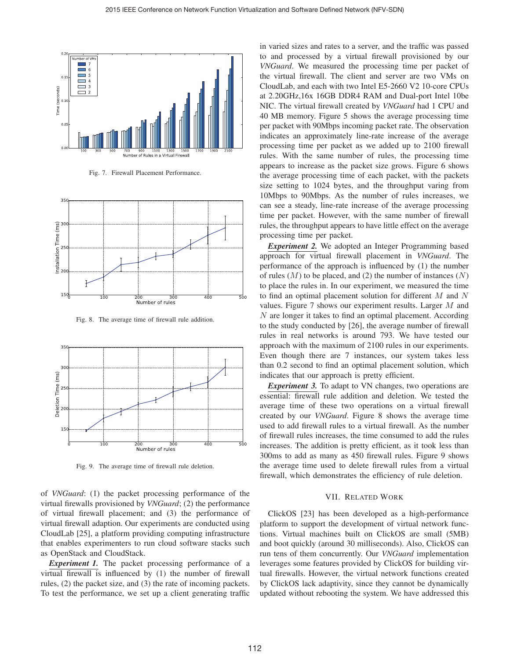

Fig. 7. Firewall Placement Performance.



Fig. 8. The average time of firewall rule addition.



Fig. 9. The average time of firewall rule deletion.

of *VNGuard*: (1) the packet processing performance of the virtual firewalls provisioned by *VNGuard*; (2) the performance of virtual firewall placement; and (3) the performance of virtual firewall adaption. Our experiments are conducted using CloudLab [25], a platform providing computing infrastructure that enables experimenters to run cloud software stacks such as OpenStack and CloudStack.

*Experiment 1.* The packet processing performance of a virtual firewall is influenced by (1) the number of firewall rules, (2) the packet size, and (3) the rate of incoming packets. To test the performance, we set up a client generating traffic in varied sizes and rates to a server, and the traffic was passed to and processed by a virtual firewall provisioned by our *VNGuard*. We measured the processing time per packet of the virtual firewall. The client and server are two VMs on CloudLab, and each with two Intel E5-2660 V2 10-core CPUs at 2.20GHz,16x 16GB DDR4 RAM and Dual-port Intel 10be NIC. The virtual firewall created by *VNGuard* had 1 CPU and 40 MB memory. Figure 5 shows the average processing time per packet with 90Mbps incoming packet rate. The observation indicates an approximately line-rate increase of the average processing time per packet as we added up to 2100 firewall rules. With the same number of rules, the processing time appears to increase as the packet size grows. Figure 6 shows the average processing time of each packet, with the packets size setting to 1024 bytes, and the throughput varing from 10Mbps to 90Mbps. As the number of rules increases, we can see a steady, line-rate increase of the average processing time per packet. However, with the same number of firewall rules, the throughput appears to have little effect on the average processing time per packet.

*Experiment 2.* We adopted an Integer Programming based approach for virtual firewall placement in *VNGuard*. The performance of the approach is influenced by (1) the number of rules  $(M)$  to be placed, and  $(2)$  the number of instances  $(N)$ to place the rules in. In our experiment, we measured the time to find an optimal placement solution for different M and N values. Figure 7 shows our experiment results. Larger M and N are longer it takes to find an optimal placement. According to the study conducted by [26], the average number of firewall rules in real networks is around 793. We have tested our approach with the maximum of 2100 rules in our experiments. Even though there are 7 instances, our system takes less than 0.2 second to find an optimal placement solution, which indicates that our approach is pretty efficient.

*Experiment 3.* To adapt to VN changes, two operations are essential: firewall rule addition and deletion. We tested the average time of these two operations on a virtual firewall created by our *VNGuard*. Figure 8 shows the average time used to add firewall rules to a virtual firewall. As the number of firewall rules increases, the time consumed to add the rules increases. The addition is pretty efficient, as it took less than 300ms to add as many as 450 firewall rules. Figure 9 shows the average time used to delete firewall rules from a virtual firewall, which demonstrates the efficiency of rule deletion.

### VII. RELATED WORK

ClickOS [23] has been developed as a high-performance platform to support the development of virtual network functions. Virtual machines built on ClickOS are small (5MB) and boot quickly (around 30 milliseconds). Also, ClickOS can run tens of them concurrently. Our *VNGuard* implementation leverages some features provided by ClickOS for building virtual firewalls. However, the virtual network functions created by ClickOS lack adaptivity, since they cannot be dynamically updated without rebooting the system. We have addressed this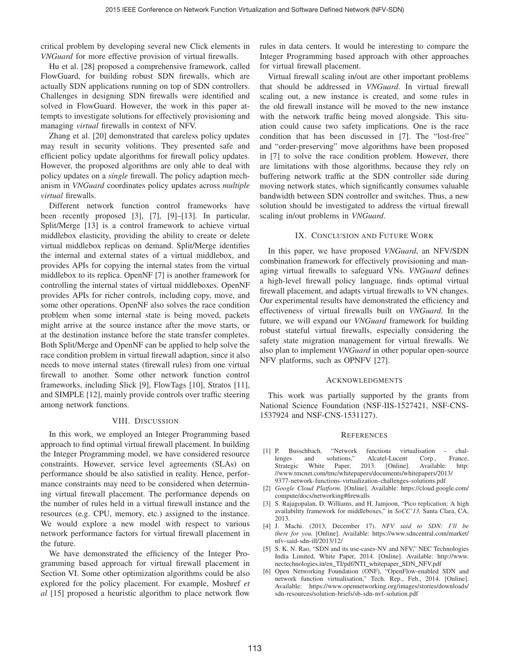critical problem by developing several new Click elements in *VNGuard* for more effective provision of virtual firewalls.

Hu et al. [28] proposed a comprehensive framework, called FlowGuard, for building robust SDN firewalls, which are actually SDN applications running on top of SDN controllers. Challenges in designing SDN firewalls were identified and solved in FlowGuard. However, the work in this paper attempts to investigate solutions for effectively provisioning and managing *virtual* firewalls in context of NFV.

Zhang et al. [20] demonstrated that careless policy updates may result in security volitions. They presented safe and efficient policy update algorithms for firewall policy updates. However, the proposed algorithms are only able to deal with policy updates on a *single* firewall. The policy adaption mechanism in *VNGuard* coordinates policy updates across *multiple virtual* firewalls.

Different network function control frameworks have been recently proposed [3], [7], [9]–[13]. In particular, Split/Merge [13] is a control framework to achieve virtual middlebox elasticity, providing the ability to create or delete virtual middlebox replicas on demand. Split/Merge identifies the internal and external states of a virtual middlebox, and provides APIs for copying the internal states from the virtual middlebox to its replica. OpenNF [7] is another framework for controlling the internal states of virtual middleboxes. OpenNF provides APIs for richer controls, including copy, move, and some other operations. OpenNF also solves the race condition problem when some internal state is being moved, packets might arrive at the source instance after the move starts, or at the destination instance before the state transfer completes. Both Split/Merge and OpenNF can be applied to help solve the race condition problem in virtual firewall adaption, since it also needs to move internal states (firewall rules) from one virtual firewall to another. Some other network function control frameworks, including Slick [9], FlowTags [10], Stratos [11], and SIMPLE [12], mainly provide controls over traffic steering among network functions.

### VIII. DISCUSSION

In this work, we employed an Integer Programming based approach to find optimal virtual firewall placement. In building the Integer Programming model, we have considered resource constraints. However, service level agreements (SLAs) on performance should be also satisfied in reality. Hence, performance constraints may need to be considered when determining virtual firewall placement. The performance depends on the number of rules held in a virtual firewall instance and the resources (e.g. CPU, memory, etc.) assigned to the instance. We would explore a new model with respect to various network performance factors for virtual firewall placement in the future.

We have demonstrated the efficiency of the Integer Programming based approach for virtual firewall placement in Section VI. Some other optimization algorithms could be also explored for the policy placement. For example, Moshref *et al* [15] proposed a heuristic algorithm to place network flow rules in data centers. It would be interesting to compare the Integer Programming based approach with other approaches for virtual firewall placement.

Virtual firewall scaling in/out are other important problems that should be addressed in *VNGuard*. In virtual firewall scaling out, a new instance is created, and some rules in the old firewall instance will be moved to the new instance with the network traffic being moved alongside. This situation could cause two safety implications. One is the race condition that has been discussed in [7]. The "lost-free" and "order-preserving" move algorithms have been proposed in [7] to solve the race condition problem. However, there are limitations with those algorithms, because they rely on buffering network traffic at the SDN controller side during moving network states, which significantly consumes valuable bandwidth between SDN controller and switches. Thus, a new solution should be investigated to address the virtual firewall scaling in/out problems in *VNGuard*.

### IX. CONCLUSION AND FUTURE WORK

In this paper, we have proposed *VNGuard*, an NFV/SDN combination framework for effectively provisioning and managing virtual firewalls to safeguard VNs. *VNGuard* defines a high-level firewall policy language, finds optimal virtual firewall placement, and adapts virtual firewalls to VN changes. Our experimental results have demonstrated the efficiency and effectiveness of virtual firewalls built on *VNGuard*. In the future, we will expand our *VNGuard* framework for building robust stateful virtual firewalls, especially considering the safety state migration management for virtual firewalls. We also plan to implement *VNGuard* in other popular open-source NFV platforms, such as OPNFV [27].

### ACKNOWLEDGMENTS

This work was partially supported by the grants from National Science Foundation (NSF-IIS-1527421, NSF-CNS-1537924 and NSF-CNS-1531127).

#### **REFERENCES**

- [1] P. Busschbach, "Network functions virtualisation challenges and solutions," Alcatel-Lucent Corp., France,<br>Strategic White Paper, 2013. [Online]. Available: http: Strategic White Paper, 2013. [Online]. Available: http: //www.tmcnet.com/tmc/whitepapers/documents/whitepapers/2013/ 9377-network-functions-virtualization-challenges-solutions.pdf
- [2] *Google Cloud Platform.* [Online]. Available: https://cloud.google.com/ compute/docs/networking#firewalls
- [3] S. Rajagopalan, D. Williams, and H. Jamjoon, "Pico replication: A high availability framework for middleboxes," in *SoCC'13,* Santa Clara, CA, 2013.
- [4] J. Machi. (2013, December 17). *NFV said to SDN: I'll be there for you.* [Online]. Available: https://www.sdncentral.com/market/ nfv-said-sdn-ill/2013/12/
- [5] S. K. N. Rao, "SDN and its use-cases-NV and NFV," NEC Technologies India Limited, White Paper, 2014. [Online]. Available: http://www. nectechnologies.in/en\_TI/pdf/NTI\_whitepaper\_SDN\_NFV.pdf
- [6] Open Networking Foundation (ONF), "OpenFlow-enabled SDN and network function virtualisation," Tech. Rep., Feb., 2014. [Online]. Available: https://www.opennetworking.org/images/stories/downloads/ sdn-resources/solution-briefs/sb-sdn-nvf-solution.pdf